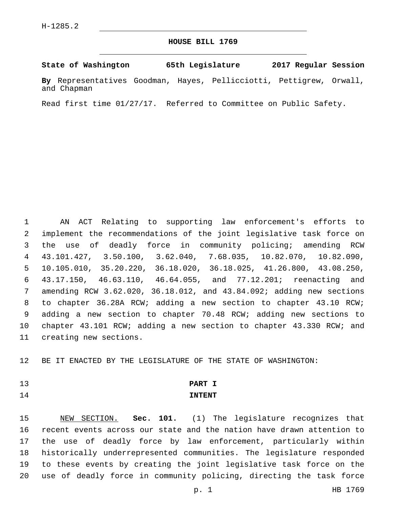# **HOUSE BILL 1769**

## **State of Washington 65th Legislature 2017 Regular Session**

**By** Representatives Goodman, Hayes, Pellicciotti, Pettigrew, Orwall, and Chapman

Read first time 01/27/17. Referred to Committee on Public Safety.

 AN ACT Relating to supporting law enforcement's efforts to implement the recommendations of the joint legislative task force on the use of deadly force in community policing; amending RCW 43.101.427, 3.50.100, 3.62.040, 7.68.035, 10.82.070, 10.82.090, 10.105.010, 35.20.220, 36.18.020, 36.18.025, 41.26.800, 43.08.250, 43.17.150, 46.63.110, 46.64.055, and 77.12.201; reenacting and amending RCW 3.62.020, 36.18.012, and 43.84.092; adding new sections to chapter 36.28A RCW; adding a new section to chapter 43.10 RCW; adding a new section to chapter 70.48 RCW; adding new sections to chapter 43.101 RCW; adding a new section to chapter 43.330 RCW; and 11 creating new sections.

BE IT ENACTED BY THE LEGISLATURE OF THE STATE OF WASHINGTON:

- 
- 

# **PART I INTENT**

 NEW SECTION. **Sec. 101.** (1) The legislature recognizes that recent events across our state and the nation have drawn attention to the use of deadly force by law enforcement, particularly within historically underrepresented communities. The legislature responded to these events by creating the joint legislative task force on the use of deadly force in community policing, directing the task force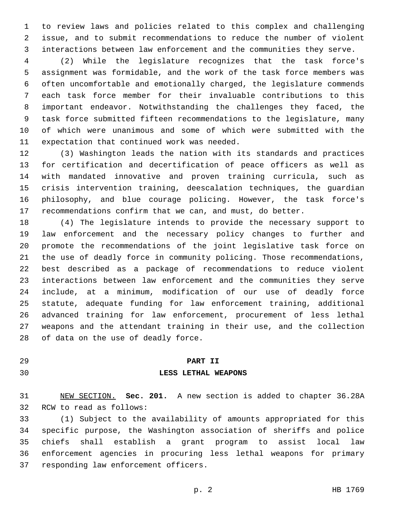to review laws and policies related to this complex and challenging issue, and to submit recommendations to reduce the number of violent interactions between law enforcement and the communities they serve.

 (2) While the legislature recognizes that the task force's assignment was formidable, and the work of the task force members was often uncomfortable and emotionally charged, the legislature commends each task force member for their invaluable contributions to this important endeavor. Notwithstanding the challenges they faced, the task force submitted fifteen recommendations to the legislature, many of which were unanimous and some of which were submitted with the 11 expectation that continued work was needed.

 (3) Washington leads the nation with its standards and practices for certification and decertification of peace officers as well as with mandated innovative and proven training curricula, such as crisis intervention training, deescalation techniques, the guardian philosophy, and blue courage policing. However, the task force's recommendations confirm that we can, and must, do better.

 (4) The legislature intends to provide the necessary support to law enforcement and the necessary policy changes to further and promote the recommendations of the joint legislative task force on the use of deadly force in community policing. Those recommendations, best described as a package of recommendations to reduce violent interactions between law enforcement and the communities they serve include, at a minimum, modification of our use of deadly force statute, adequate funding for law enforcement training, additional advanced training for law enforcement, procurement of less lethal weapons and the attendant training in their use, and the collection 28 of data on the use of deadly force.

# **PART II**

### **LESS LETHAL WEAPONS**

 NEW SECTION. **Sec. 201.** A new section is added to chapter 36.28A 32 RCW to read as follows:

 (1) Subject to the availability of amounts appropriated for this specific purpose, the Washington association of sheriffs and police chiefs shall establish a grant program to assist local law enforcement agencies in procuring less lethal weapons for primary 37 responding law enforcement officers.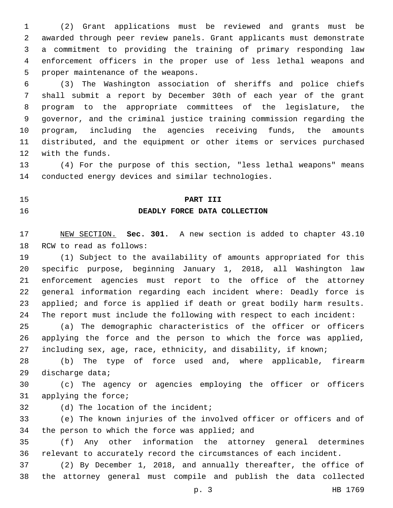(2) Grant applications must be reviewed and grants must be awarded through peer review panels. Grant applicants must demonstrate a commitment to providing the training of primary responding law enforcement officers in the proper use of less lethal weapons and 5 proper maintenance of the weapons.

 (3) The Washington association of sheriffs and police chiefs shall submit a report by December 30th of each year of the grant program to the appropriate committees of the legislature, the governor, and the criminal justice training commission regarding the program, including the agencies receiving funds, the amounts distributed, and the equipment or other items or services purchased 12 with the funds.

 (4) For the purpose of this section, "less lethal weapons" means conducted energy devices and similar technologies.

## **PART III**

# **DEADLY FORCE DATA COLLECTION**

 NEW SECTION. **Sec. 301.** A new section is added to chapter 43.10 18 RCW to read as follows:

 (1) Subject to the availability of amounts appropriated for this specific purpose, beginning January 1, 2018, all Washington law enforcement agencies must report to the office of the attorney general information regarding each incident where: Deadly force is applied; and force is applied if death or great bodily harm results. The report must include the following with respect to each incident:

 (a) The demographic characteristics of the officer or officers applying the force and the person to which the force was applied, including sex, age, race, ethnicity, and disability, if known;

 (b) The type of force used and, where applicable, firearm 29 discharge data;

 (c) The agency or agencies employing the officer or officers 31 applying the force;

32 (d) The location of the incident;

 (e) The known injuries of the involved officer or officers and of 34 the person to which the force was applied; and

 (f) Any other information the attorney general determines relevant to accurately record the circumstances of each incident.

 (2) By December 1, 2018, and annually thereafter, the office of the attorney general must compile and publish the data collected

p. 3 HB 1769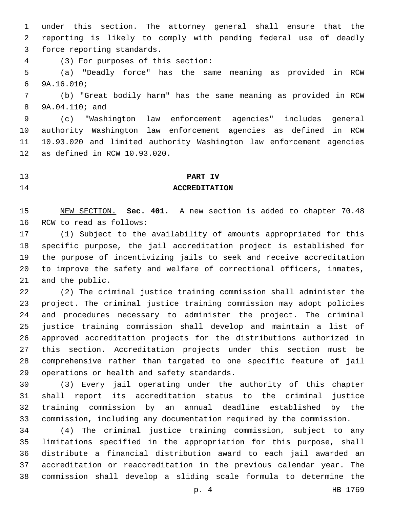under this section. The attorney general shall ensure that the reporting is likely to comply with pending federal use of deadly 3 force reporting standards.

(3) For purposes of this section:4

 (a) "Deadly force" has the same meaning as provided in RCW 9A.16.010;6

 (b) "Great bodily harm" has the same meaning as provided in RCW 9A.04.110; and8

 (c) "Washington law enforcement agencies" includes general authority Washington law enforcement agencies as defined in RCW 10.93.020 and limited authority Washington law enforcement agencies 12 as defined in RCW 10.93.020.

## **PART IV**

### **ACCREDITATION**

 NEW SECTION. **Sec. 401.** A new section is added to chapter 70.48 16 RCW to read as follows:

 (1) Subject to the availability of amounts appropriated for this specific purpose, the jail accreditation project is established for the purpose of incentivizing jails to seek and receive accreditation to improve the safety and welfare of correctional officers, inmates, 21 and the public.

 (2) The criminal justice training commission shall administer the project. The criminal justice training commission may adopt policies and procedures necessary to administer the project. The criminal justice training commission shall develop and maintain a list of approved accreditation projects for the distributions authorized in this section. Accreditation projects under this section must be comprehensive rather than targeted to one specific feature of jail 29 operations or health and safety standards.

 (3) Every jail operating under the authority of this chapter shall report its accreditation status to the criminal justice training commission by an annual deadline established by the commission, including any documentation required by the commission.

 (4) The criminal justice training commission, subject to any limitations specified in the appropriation for this purpose, shall distribute a financial distribution award to each jail awarded an accreditation or reaccreditation in the previous calendar year. The commission shall develop a sliding scale formula to determine the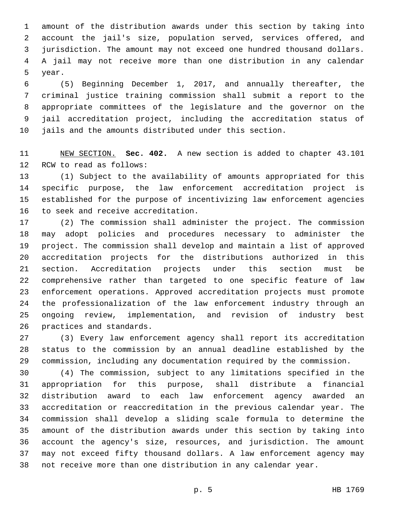amount of the distribution awards under this section by taking into account the jail's size, population served, services offered, and jurisdiction. The amount may not exceed one hundred thousand dollars. A jail may not receive more than one distribution in any calendar 5 year.

 (5) Beginning December 1, 2017, and annually thereafter, the criminal justice training commission shall submit a report to the appropriate committees of the legislature and the governor on the jail accreditation project, including the accreditation status of jails and the amounts distributed under this section.

 NEW SECTION. **Sec. 402.** A new section is added to chapter 43.101 12 RCW to read as follows:

 (1) Subject to the availability of amounts appropriated for this specific purpose, the law enforcement accreditation project is established for the purpose of incentivizing law enforcement agencies 16 to seek and receive accreditation.

 (2) The commission shall administer the project. The commission may adopt policies and procedures necessary to administer the project. The commission shall develop and maintain a list of approved accreditation projects for the distributions authorized in this section. Accreditation projects under this section must be comprehensive rather than targeted to one specific feature of law enforcement operations. Approved accreditation projects must promote the professionalization of the law enforcement industry through an ongoing review, implementation, and revision of industry best 26 practices and standards.

 (3) Every law enforcement agency shall report its accreditation status to the commission by an annual deadline established by the commission, including any documentation required by the commission.

 (4) The commission, subject to any limitations specified in the appropriation for this purpose, shall distribute a financial distribution award to each law enforcement agency awarded an accreditation or reaccreditation in the previous calendar year. The commission shall develop a sliding scale formula to determine the amount of the distribution awards under this section by taking into account the agency's size, resources, and jurisdiction. The amount may not exceed fifty thousand dollars. A law enforcement agency may not receive more than one distribution in any calendar year.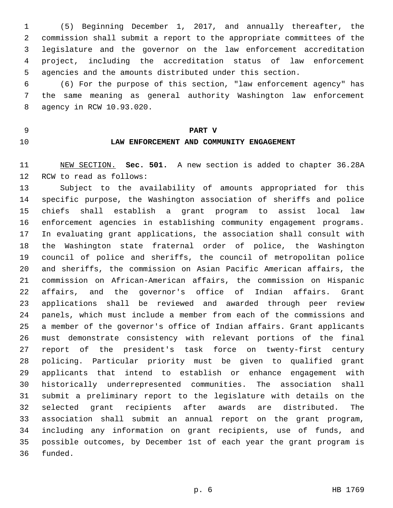(5) Beginning December 1, 2017, and annually thereafter, the commission shall submit a report to the appropriate committees of the legislature and the governor on the law enforcement accreditation project, including the accreditation status of law enforcement agencies and the amounts distributed under this section.

 (6) For the purpose of this section, "law enforcement agency" has the same meaning as general authority Washington law enforcement agency in RCW 10.93.020.8

**PART V**

# **LAW ENFORCEMENT AND COMMUNITY ENGAGEMENT**

 NEW SECTION. **Sec. 501.** A new section is added to chapter 36.28A 12 RCW to read as follows:

 Subject to the availability of amounts appropriated for this specific purpose, the Washington association of sheriffs and police chiefs shall establish a grant program to assist local law enforcement agencies in establishing community engagement programs. In evaluating grant applications, the association shall consult with the Washington state fraternal order of police, the Washington council of police and sheriffs, the council of metropolitan police and sheriffs, the commission on Asian Pacific American affairs, the commission on African-American affairs, the commission on Hispanic affairs, and the governor's office of Indian affairs. Grant applications shall be reviewed and awarded through peer review panels, which must include a member from each of the commissions and a member of the governor's office of Indian affairs. Grant applicants must demonstrate consistency with relevant portions of the final report of the president's task force on twenty-first century policing. Particular priority must be given to qualified grant applicants that intend to establish or enhance engagement with historically underrepresented communities. The association shall submit a preliminary report to the legislature with details on the selected grant recipients after awards are distributed. The association shall submit an annual report on the grant program, including any information on grant recipients, use of funds, and possible outcomes, by December 1st of each year the grant program is 36 funded.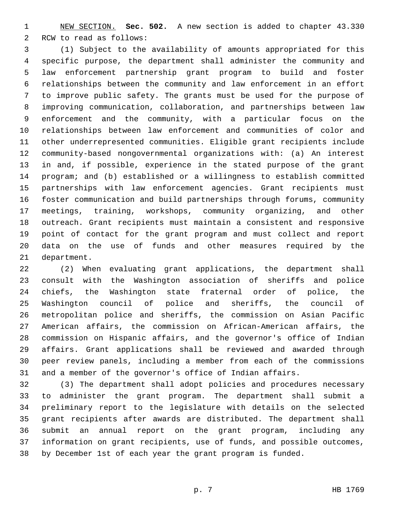NEW SECTION. **Sec. 502.** A new section is added to chapter 43.330 2 RCW to read as follows:

 (1) Subject to the availability of amounts appropriated for this specific purpose, the department shall administer the community and law enforcement partnership grant program to build and foster relationships between the community and law enforcement in an effort to improve public safety. The grants must be used for the purpose of improving communication, collaboration, and partnerships between law enforcement and the community, with a particular focus on the relationships between law enforcement and communities of color and other underrepresented communities. Eligible grant recipients include community-based nongovernmental organizations with: (a) An interest in and, if possible, experience in the stated purpose of the grant program; and (b) established or a willingness to establish committed partnerships with law enforcement agencies. Grant recipients must foster communication and build partnerships through forums, community meetings, training, workshops, community organizing, and other outreach. Grant recipients must maintain a consistent and responsive point of contact for the grant program and must collect and report data on the use of funds and other measures required by the 21 department.

 (2) When evaluating grant applications, the department shall consult with the Washington association of sheriffs and police chiefs, the Washington state fraternal order of police, the Washington council of police and sheriffs, the council of metropolitan police and sheriffs, the commission on Asian Pacific American affairs, the commission on African-American affairs, the commission on Hispanic affairs, and the governor's office of Indian affairs. Grant applications shall be reviewed and awarded through peer review panels, including a member from each of the commissions and a member of the governor's office of Indian affairs.

 (3) The department shall adopt policies and procedures necessary to administer the grant program. The department shall submit a preliminary report to the legislature with details on the selected grant recipients after awards are distributed. The department shall submit an annual report on the grant program, including any information on grant recipients, use of funds, and possible outcomes, by December 1st of each year the grant program is funded.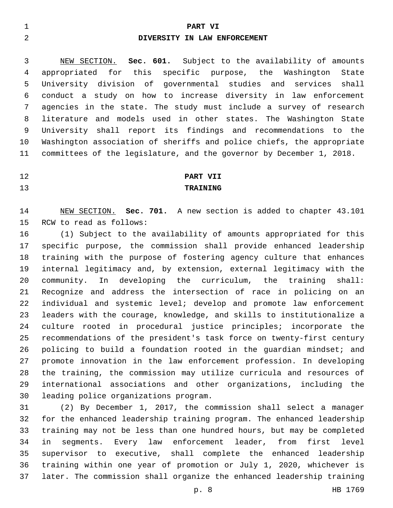### **PART VI**

# **DIVERSITY IN LAW ENFORCEMENT**

 NEW SECTION. **Sec. 601.** Subject to the availability of amounts appropriated for this specific purpose, the Washington State University division of governmental studies and services shall conduct a study on how to increase diversity in law enforcement agencies in the state. The study must include a survey of research literature and models used in other states. The Washington State University shall report its findings and recommendations to the Washington association of sheriffs and police chiefs, the appropriate committees of the legislature, and the governor by December 1, 2018.

# **PART VII TRAINING**

 NEW SECTION. **Sec. 701.** A new section is added to chapter 43.101 15 RCW to read as follows:

 (1) Subject to the availability of amounts appropriated for this specific purpose, the commission shall provide enhanced leadership training with the purpose of fostering agency culture that enhances internal legitimacy and, by extension, external legitimacy with the community. In developing the curriculum, the training shall: Recognize and address the intersection of race in policing on an individual and systemic level; develop and promote law enforcement leaders with the courage, knowledge, and skills to institutionalize a culture rooted in procedural justice principles; incorporate the recommendations of the president's task force on twenty-first century policing to build a foundation rooted in the guardian mindset; and promote innovation in the law enforcement profession. In developing the training, the commission may utilize curricula and resources of international associations and other organizations, including the 30 leading police organizations program.

 (2) By December 1, 2017, the commission shall select a manager for the enhanced leadership training program. The enhanced leadership training may not be less than one hundred hours, but may be completed in segments. Every law enforcement leader, from first level supervisor to executive, shall complete the enhanced leadership training within one year of promotion or July 1, 2020, whichever is later. The commission shall organize the enhanced leadership training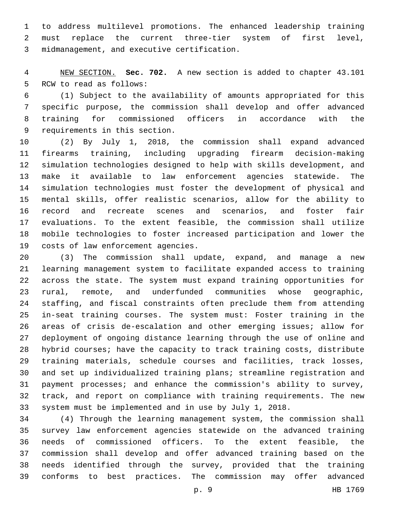to address multilevel promotions. The enhanced leadership training must replace the current three-tier system of first level, 3 midmanagement, and executive certification.

 NEW SECTION. **Sec. 702.** A new section is added to chapter 43.101 5 RCW to read as follows:

 (1) Subject to the availability of amounts appropriated for this specific purpose, the commission shall develop and offer advanced training for commissioned officers in accordance with the 9 requirements in this section.

 (2) By July 1, 2018, the commission shall expand advanced firearms training, including upgrading firearm decision-making simulation technologies designed to help with skills development, and make it available to law enforcement agencies statewide. The simulation technologies must foster the development of physical and mental skills, offer realistic scenarios, allow for the ability to record and recreate scenes and scenarios, and foster fair evaluations. To the extent feasible, the commission shall utilize mobile technologies to foster increased participation and lower the 19 costs of law enforcement agencies.

 (3) The commission shall update, expand, and manage a new learning management system to facilitate expanded access to training across the state. The system must expand training opportunities for rural, remote, and underfunded communities whose geographic, staffing, and fiscal constraints often preclude them from attending in-seat training courses. The system must: Foster training in the areas of crisis de-escalation and other emerging issues; allow for deployment of ongoing distance learning through the use of online and hybrid courses; have the capacity to track training costs, distribute training materials, schedule courses and facilities, track losses, and set up individualized training plans; streamline registration and payment processes; and enhance the commission's ability to survey, track, and report on compliance with training requirements. The new system must be implemented and in use by July 1, 2018.

 (4) Through the learning management system, the commission shall survey law enforcement agencies statewide on the advanced training needs of commissioned officers. To the extent feasible, the commission shall develop and offer advanced training based on the needs identified through the survey, provided that the training conforms to best practices. The commission may offer advanced

p. 9 HB 1769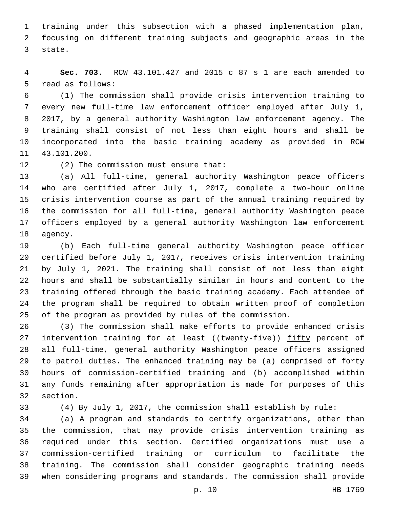training under this subsection with a phased implementation plan, focusing on different training subjects and geographic areas in the 3 state.

 **Sec. 703.** RCW 43.101.427 and 2015 c 87 s 1 are each amended to 5 read as follows:

 (1) The commission shall provide crisis intervention training to every new full-time law enforcement officer employed after July 1, 2017, by a general authority Washington law enforcement agency. The training shall consist of not less than eight hours and shall be incorporated into the basic training academy as provided in RCW 11 43.101.200.

12 (2) The commission must ensure that:

 (a) All full-time, general authority Washington peace officers who are certified after July 1, 2017, complete a two-hour online crisis intervention course as part of the annual training required by the commission for all full-time, general authority Washington peace officers employed by a general authority Washington law enforcement 18 agency.

 (b) Each full-time general authority Washington peace officer certified before July 1, 2017, receives crisis intervention training by July 1, 2021. The training shall consist of not less than eight hours and shall be substantially similar in hours and content to the training offered through the basic training academy. Each attendee of the program shall be required to obtain written proof of completion of the program as provided by rules of the commission.

 (3) The commission shall make efforts to provide enhanced crisis 27 intervention training for at least ((twenty-five)) fifty percent of all full-time, general authority Washington peace officers assigned to patrol duties. The enhanced training may be (a) comprised of forty hours of commission-certified training and (b) accomplished within any funds remaining after appropriation is made for purposes of this 32 section.

(4) By July 1, 2017, the commission shall establish by rule:

 (a) A program and standards to certify organizations, other than the commission, that may provide crisis intervention training as required under this section. Certified organizations must use a commission-certified training or curriculum to facilitate the training. The commission shall consider geographic training needs when considering programs and standards. The commission shall provide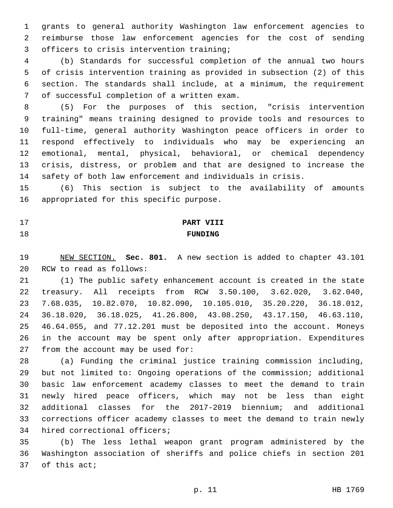grants to general authority Washington law enforcement agencies to reimburse those law enforcement agencies for the cost of sending 3 officers to crisis intervention training;

 (b) Standards for successful completion of the annual two hours of crisis intervention training as provided in subsection (2) of this section. The standards shall include, at a minimum, the requirement 7 of successful completion of a written exam.

 (5) For the purposes of this section, "crisis intervention training" means training designed to provide tools and resources to full-time, general authority Washington peace officers in order to respond effectively to individuals who may be experiencing an emotional, mental, physical, behavioral, or chemical dependency crisis, distress, or problem and that are designed to increase the safety of both law enforcement and individuals in crisis.

 (6) This section is subject to the availability of amounts 16 appropriated for this specific purpose.

# **PART VIII FUNDING**

 NEW SECTION. **Sec. 801.** A new section is added to chapter 43.101 20 RCW to read as follows:

 (1) The public safety enhancement account is created in the state treasury. All receipts from RCW 3.50.100, 3.62.020, 3.62.040, 7.68.035, 10.82.070, 10.82.090, 10.105.010, 35.20.220, 36.18.012, 36.18.020, 36.18.025, 41.26.800, 43.08.250, 43.17.150, 46.63.110, 46.64.055, and 77.12.201 must be deposited into the account. Moneys in the account may be spent only after appropriation. Expenditures from the account may be used for:

 (a) Funding the criminal justice training commission including, but not limited to: Ongoing operations of the commission; additional basic law enforcement academy classes to meet the demand to train newly hired peace officers, which may not be less than eight additional classes for the 2017-2019 biennium; and additional corrections officer academy classes to meet the demand to train newly 34 hired correctional officers;

 (b) The less lethal weapon grant program administered by the Washington association of sheriffs and police chiefs in section 201 37 of this act;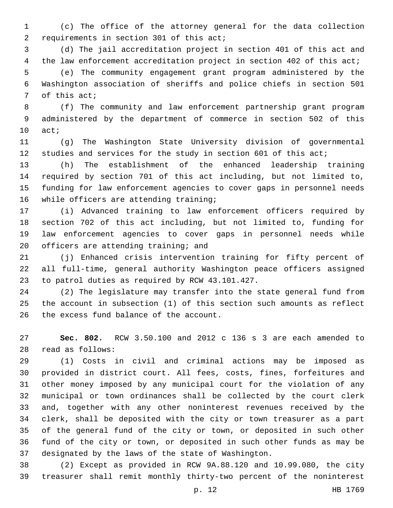(c) The office of the attorney general for the data collection 2 requirements in section 301 of this act;

 (d) The jail accreditation project in section 401 of this act and the law enforcement accreditation project in section 402 of this act; (e) The community engagement grant program administered by the Washington association of sheriffs and police chiefs in section 501 7 of this act;

 (f) The community and law enforcement partnership grant program administered by the department of commerce in section 502 of this 10 act;

 (g) The Washington State University division of governmental studies and services for the study in section 601 of this act;

 (h) The establishment of the enhanced leadership training required by section 701 of this act including, but not limited to, funding for law enforcement agencies to cover gaps in personnel needs 16 while officers are attending training;

 (i) Advanced training to law enforcement officers required by section 702 of this act including, but not limited to, funding for law enforcement agencies to cover gaps in personnel needs while 20 officers are attending training; and

 (j) Enhanced crisis intervention training for fifty percent of all full-time, general authority Washington peace officers assigned 23 to patrol duties as required by RCW 43.101.427.

 (2) The legislature may transfer into the state general fund from the account in subsection (1) of this section such amounts as reflect 26 the excess fund balance of the account.

 **Sec. 802.** RCW 3.50.100 and 2012 c 136 s 3 are each amended to read as follows:28

 (1) Costs in civil and criminal actions may be imposed as provided in district court. All fees, costs, fines, forfeitures and other money imposed by any municipal court for the violation of any municipal or town ordinances shall be collected by the court clerk and, together with any other noninterest revenues received by the clerk, shall be deposited with the city or town treasurer as a part of the general fund of the city or town, or deposited in such other fund of the city or town, or deposited in such other funds as may be designated by the laws of the state of Washington.

 (2) Except as provided in RCW 9A.88.120 and 10.99.080, the city treasurer shall remit monthly thirty-two percent of the noninterest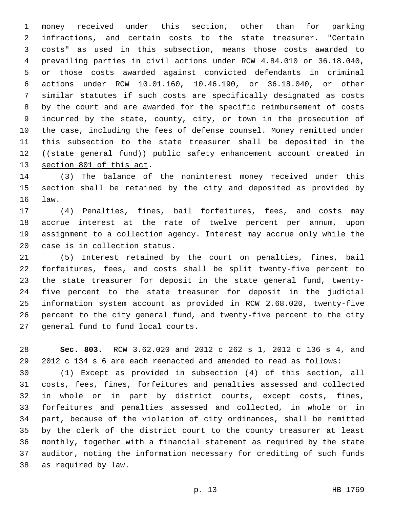money received under this section, other than for parking infractions, and certain costs to the state treasurer. "Certain costs" as used in this subsection, means those costs awarded to prevailing parties in civil actions under RCW 4.84.010 or 36.18.040, or those costs awarded against convicted defendants in criminal actions under RCW 10.01.160, 10.46.190, or 36.18.040, or other similar statutes if such costs are specifically designated as costs by the court and are awarded for the specific reimbursement of costs incurred by the state, county, city, or town in the prosecution of the case, including the fees of defense counsel. Money remitted under this subsection to the state treasurer shall be deposited in the ((state general fund)) public safety enhancement account created in 13 section 801 of this act.

 (3) The balance of the noninterest money received under this section shall be retained by the city and deposited as provided by 16 law.

 (4) Penalties, fines, bail forfeitures, fees, and costs may accrue interest at the rate of twelve percent per annum, upon assignment to a collection agency. Interest may accrue only while the 20 case is in collection status.

 (5) Interest retained by the court on penalties, fines, bail forfeitures, fees, and costs shall be split twenty-five percent to the state treasurer for deposit in the state general fund, twenty- five percent to the state treasurer for deposit in the judicial information system account as provided in RCW 2.68.020, twenty-five percent to the city general fund, and twenty-five percent to the city 27 general fund to fund local courts.

 **Sec. 803.** RCW 3.62.020 and 2012 c 262 s 1, 2012 c 136 s 4, and 2012 c 134 s 6 are each reenacted and amended to read as follows:

 (1) Except as provided in subsection (4) of this section, all costs, fees, fines, forfeitures and penalties assessed and collected in whole or in part by district courts, except costs, fines, forfeitures and penalties assessed and collected, in whole or in part, because of the violation of city ordinances, shall be remitted by the clerk of the district court to the county treasurer at least monthly, together with a financial statement as required by the state auditor, noting the information necessary for crediting of such funds 38 as required by law.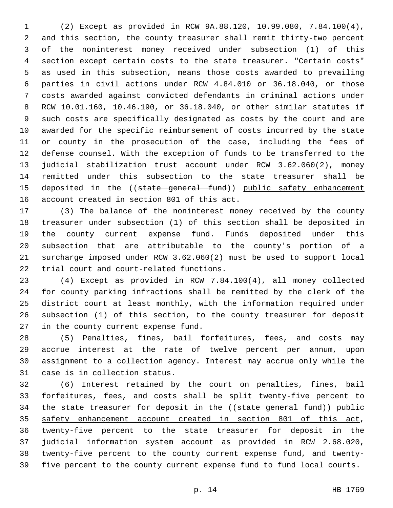(2) Except as provided in RCW 9A.88.120, 10.99.080, 7.84.100(4), and this section, the county treasurer shall remit thirty-two percent of the noninterest money received under subsection (1) of this section except certain costs to the state treasurer. "Certain costs" as used in this subsection, means those costs awarded to prevailing parties in civil actions under RCW 4.84.010 or 36.18.040, or those costs awarded against convicted defendants in criminal actions under RCW 10.01.160, 10.46.190, or 36.18.040, or other similar statutes if such costs are specifically designated as costs by the court and are awarded for the specific reimbursement of costs incurred by the state or county in the prosecution of the case, including the fees of defense counsel. With the exception of funds to be transferred to the judicial stabilization trust account under RCW 3.62.060(2), money remitted under this subsection to the state treasurer shall be 15 deposited in the ((state general fund)) public safety enhancement 16 account created in section 801 of this act.

 (3) The balance of the noninterest money received by the county treasurer under subsection (1) of this section shall be deposited in the county current expense fund. Funds deposited under this subsection that are attributable to the county's portion of a surcharge imposed under RCW 3.62.060(2) must be used to support local 22 trial court and court-related functions.

 (4) Except as provided in RCW 7.84.100(4), all money collected for county parking infractions shall be remitted by the clerk of the district court at least monthly, with the information required under subsection (1) of this section, to the county treasurer for deposit 27 in the county current expense fund.

 (5) Penalties, fines, bail forfeitures, fees, and costs may accrue interest at the rate of twelve percent per annum, upon assignment to a collection agency. Interest may accrue only while the 31 case is in collection status.

 (6) Interest retained by the court on penalties, fines, bail forfeitures, fees, and costs shall be split twenty-five percent to 34 the state treasurer for deposit in the ((state general fund)) public safety enhancement account created in section 801 of this act, twenty-five percent to the state treasurer for deposit in the judicial information system account as provided in RCW 2.68.020, twenty-five percent to the county current expense fund, and twenty-five percent to the county current expense fund to fund local courts.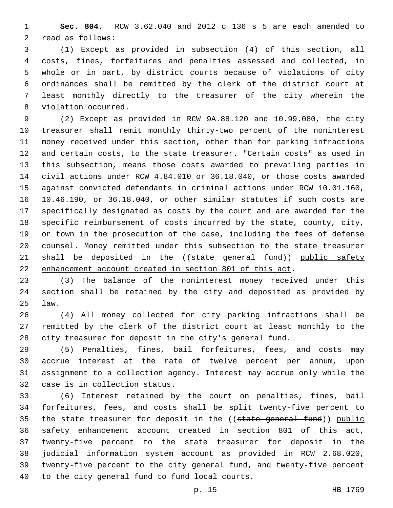**Sec. 804.** RCW 3.62.040 and 2012 c 136 s 5 are each amended to 2 read as follows:

 (1) Except as provided in subsection (4) of this section, all costs, fines, forfeitures and penalties assessed and collected, in whole or in part, by district courts because of violations of city ordinances shall be remitted by the clerk of the district court at least monthly directly to the treasurer of the city wherein the 8 violation occurred.

 (2) Except as provided in RCW 9A.88.120 and 10.99.080, the city treasurer shall remit monthly thirty-two percent of the noninterest money received under this section, other than for parking infractions and certain costs, to the state treasurer. "Certain costs" as used in this subsection, means those costs awarded to prevailing parties in civil actions under RCW 4.84.010 or 36.18.040, or those costs awarded against convicted defendants in criminal actions under RCW 10.01.160, 10.46.190, or 36.18.040, or other similar statutes if such costs are specifically designated as costs by the court and are awarded for the specific reimbursement of costs incurred by the state, county, city, or town in the prosecution of the case, including the fees of defense counsel. Money remitted under this subsection to the state treasurer 21 shall be deposited in the ((state general fund)) public safety enhancement account created in section 801 of this act.

 (3) The balance of the noninterest money received under this section shall be retained by the city and deposited as provided by law.25

 (4) All money collected for city parking infractions shall be remitted by the clerk of the district court at least monthly to the city treasurer for deposit in the city's general fund.

 (5) Penalties, fines, bail forfeitures, fees, and costs may accrue interest at the rate of twelve percent per annum, upon assignment to a collection agency. Interest may accrue only while the 32 case is in collection status.

 (6) Interest retained by the court on penalties, fines, bail forfeitures, fees, and costs shall be split twenty-five percent to 35 the state treasurer for deposit in the ((state general fund)) public safety enhancement account created in section 801 of this act, twenty-five percent to the state treasurer for deposit in the judicial information system account as provided in RCW 2.68.020, twenty-five percent to the city general fund, and twenty-five percent 40 to the city general fund to fund local courts.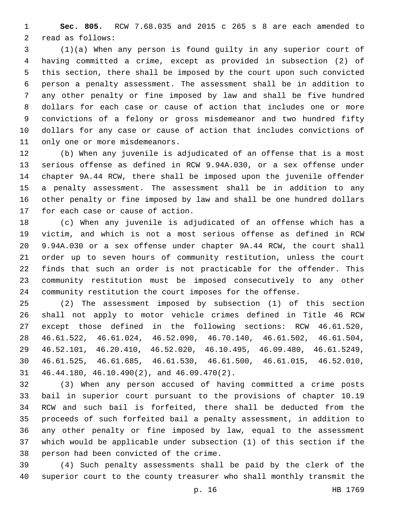**Sec. 805.** RCW 7.68.035 and 2015 c 265 s 8 are each amended to 2 read as follows:

 (1)(a) When any person is found guilty in any superior court of having committed a crime, except as provided in subsection (2) of this section, there shall be imposed by the court upon such convicted person a penalty assessment. The assessment shall be in addition to any other penalty or fine imposed by law and shall be five hundred dollars for each case or cause of action that includes one or more convictions of a felony or gross misdemeanor and two hundred fifty dollars for any case or cause of action that includes convictions of 11 only one or more misdemeanors.

 (b) When any juvenile is adjudicated of an offense that is a most serious offense as defined in RCW 9.94A.030, or a sex offense under chapter 9A.44 RCW, there shall be imposed upon the juvenile offender a penalty assessment. The assessment shall be in addition to any other penalty or fine imposed by law and shall be one hundred dollars 17 for each case or cause of action.

 (c) When any juvenile is adjudicated of an offense which has a victim, and which is not a most serious offense as defined in RCW 9.94A.030 or a sex offense under chapter 9A.44 RCW, the court shall order up to seven hours of community restitution, unless the court finds that such an order is not practicable for the offender. This community restitution must be imposed consecutively to any other community restitution the court imposes for the offense.

 (2) The assessment imposed by subsection (1) of this section shall not apply to motor vehicle crimes defined in Title 46 RCW except those defined in the following sections: RCW 46.61.520, 46.61.522, 46.61.024, 46.52.090, 46.70.140, 46.61.502, 46.61.504, 46.52.101, 46.20.410, 46.52.020, 46.10.495, 46.09.480, 46.61.5249, 46.61.525, 46.61.685, 46.61.530, 46.61.500, 46.61.015, 46.52.010,  $46.44.180$ ,  $46.10.490(2)$ , and  $46.09.470(2)$ .

 (3) When any person accused of having committed a crime posts bail in superior court pursuant to the provisions of chapter 10.19 RCW and such bail is forfeited, there shall be deducted from the proceeds of such forfeited bail a penalty assessment, in addition to any other penalty or fine imposed by law, equal to the assessment which would be applicable under subsection (1) of this section if the 38 person had been convicted of the crime.

 (4) Such penalty assessments shall be paid by the clerk of the superior court to the county treasurer who shall monthly transmit the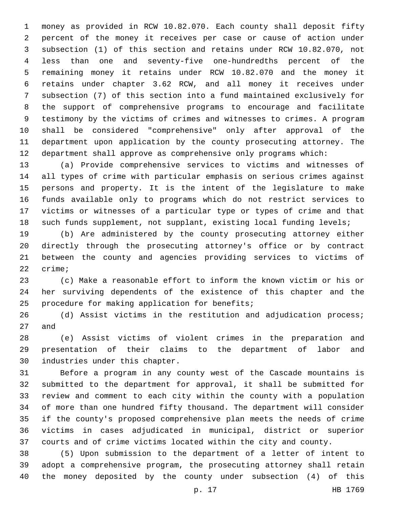money as provided in RCW 10.82.070. Each county shall deposit fifty percent of the money it receives per case or cause of action under subsection (1) of this section and retains under RCW 10.82.070, not less than one and seventy-five one-hundredths percent of the remaining money it retains under RCW 10.82.070 and the money it retains under chapter 3.62 RCW, and all money it receives under subsection (7) of this section into a fund maintained exclusively for the support of comprehensive programs to encourage and facilitate testimony by the victims of crimes and witnesses to crimes. A program shall be considered "comprehensive" only after approval of the department upon application by the county prosecuting attorney. The department shall approve as comprehensive only programs which:

 (a) Provide comprehensive services to victims and witnesses of all types of crime with particular emphasis on serious crimes against persons and property. It is the intent of the legislature to make funds available only to programs which do not restrict services to victims or witnesses of a particular type or types of crime and that such funds supplement, not supplant, existing local funding levels;

 (b) Are administered by the county prosecuting attorney either directly through the prosecuting attorney's office or by contract between the county and agencies providing services to victims of 22 crime;

 (c) Make a reasonable effort to inform the known victim or his or her surviving dependents of the existence of this chapter and the 25 procedure for making application for benefits;

 (d) Assist victims in the restitution and adjudication process; 27 and

 (e) Assist victims of violent crimes in the preparation and presentation of their claims to the department of labor and 30 industries under this chapter.

 Before a program in any county west of the Cascade mountains is submitted to the department for approval, it shall be submitted for review and comment to each city within the county with a population of more than one hundred fifty thousand. The department will consider if the county's proposed comprehensive plan meets the needs of crime victims in cases adjudicated in municipal, district or superior courts and of crime victims located within the city and county.

 (5) Upon submission to the department of a letter of intent to adopt a comprehensive program, the prosecuting attorney shall retain the money deposited by the county under subsection (4) of this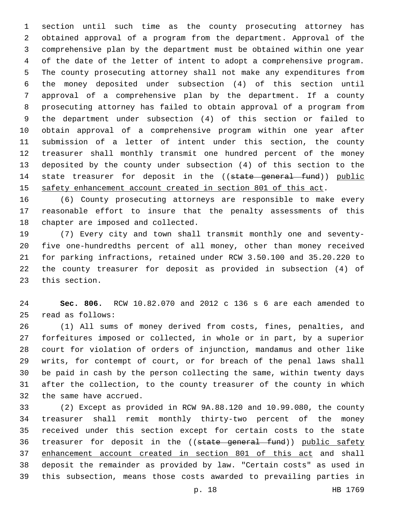section until such time as the county prosecuting attorney has obtained approval of a program from the department. Approval of the comprehensive plan by the department must be obtained within one year of the date of the letter of intent to adopt a comprehensive program. The county prosecuting attorney shall not make any expenditures from the money deposited under subsection (4) of this section until approval of a comprehensive plan by the department. If a county prosecuting attorney has failed to obtain approval of a program from the department under subsection (4) of this section or failed to obtain approval of a comprehensive program within one year after submission of a letter of intent under this section, the county treasurer shall monthly transmit one hundred percent of the money deposited by the county under subsection (4) of this section to the 14 state treasurer for deposit in the ((state general fund)) public safety enhancement account created in section 801 of this act.

 (6) County prosecuting attorneys are responsible to make every reasonable effort to insure that the penalty assessments of this 18 chapter are imposed and collected.

 (7) Every city and town shall transmit monthly one and seventy- five one-hundredths percent of all money, other than money received for parking infractions, retained under RCW 3.50.100 and 35.20.220 to the county treasurer for deposit as provided in subsection (4) of 23 this section.

 **Sec. 806.** RCW 10.82.070 and 2012 c 136 s 6 are each amended to read as follows:25

 (1) All sums of money derived from costs, fines, penalties, and forfeitures imposed or collected, in whole or in part, by a superior court for violation of orders of injunction, mandamus and other like writs, for contempt of court, or for breach of the penal laws shall be paid in cash by the person collecting the same, within twenty days after the collection, to the county treasurer of the county in which 32 the same have accrued.

 (2) Except as provided in RCW 9A.88.120 and 10.99.080, the county treasurer shall remit monthly thirty-two percent of the money received under this section except for certain costs to the state 36 treasurer for deposit in the ((state general fund)) public safety enhancement account created in section 801 of this act and shall deposit the remainder as provided by law. "Certain costs" as used in this subsection, means those costs awarded to prevailing parties in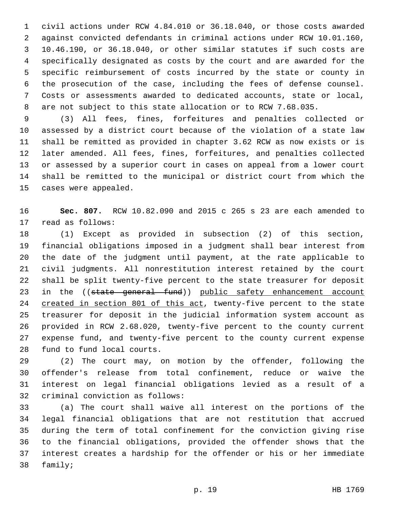civil actions under RCW 4.84.010 or 36.18.040, or those costs awarded against convicted defendants in criminal actions under RCW 10.01.160, 10.46.190, or 36.18.040, or other similar statutes if such costs are specifically designated as costs by the court and are awarded for the specific reimbursement of costs incurred by the state or county in the prosecution of the case, including the fees of defense counsel. Costs or assessments awarded to dedicated accounts, state or local, are not subject to this state allocation or to RCW 7.68.035.

 (3) All fees, fines, forfeitures and penalties collected or assessed by a district court because of the violation of a state law shall be remitted as provided in chapter 3.62 RCW as now exists or is later amended. All fees, fines, forfeitures, and penalties collected or assessed by a superior court in cases on appeal from a lower court shall be remitted to the municipal or district court from which the 15 cases were appealed.

 **Sec. 807.** RCW 10.82.090 and 2015 c 265 s 23 are each amended to 17 read as follows:

 (1) Except as provided in subsection (2) of this section, financial obligations imposed in a judgment shall bear interest from the date of the judgment until payment, at the rate applicable to civil judgments. All nonrestitution interest retained by the court shall be split twenty-five percent to the state treasurer for deposit 23 in the ((state general fund)) public safety enhancement account created in section 801 of this act, twenty-five percent to the state treasurer for deposit in the judicial information system account as provided in RCW 2.68.020, twenty-five percent to the county current expense fund, and twenty-five percent to the county current expense 28 fund to fund local courts.

 (2) The court may, on motion by the offender, following the offender's release from total confinement, reduce or waive the interest on legal financial obligations levied as a result of a 32 criminal conviction as follows:

 (a) The court shall waive all interest on the portions of the legal financial obligations that are not restitution that accrued during the term of total confinement for the conviction giving rise to the financial obligations, provided the offender shows that the interest creates a hardship for the offender or his or her immediate 38 family;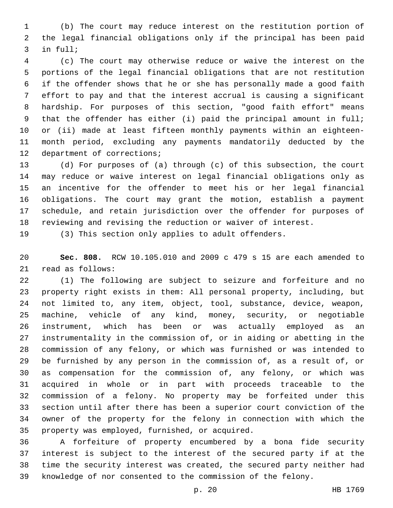(b) The court may reduce interest on the restitution portion of the legal financial obligations only if the principal has been paid 3 in full;

 (c) The court may otherwise reduce or waive the interest on the portions of the legal financial obligations that are not restitution if the offender shows that he or she has personally made a good faith effort to pay and that the interest accrual is causing a significant hardship. For purposes of this section, "good faith effort" means that the offender has either (i) paid the principal amount in full; or (ii) made at least fifteen monthly payments within an eighteen- month period, excluding any payments mandatorily deducted by the 12 department of corrections;

 (d) For purposes of (a) through (c) of this subsection, the court may reduce or waive interest on legal financial obligations only as an incentive for the offender to meet his or her legal financial obligations. The court may grant the motion, establish a payment schedule, and retain jurisdiction over the offender for purposes of reviewing and revising the reduction or waiver of interest.

(3) This section only applies to adult offenders.

 **Sec. 808.** RCW 10.105.010 and 2009 c 479 s 15 are each amended to 21 read as follows:

 (1) The following are subject to seizure and forfeiture and no property right exists in them: All personal property, including, but not limited to, any item, object, tool, substance, device, weapon, machine, vehicle of any kind, money, security, or negotiable instrument, which has been or was actually employed as an instrumentality in the commission of, or in aiding or abetting in the commission of any felony, or which was furnished or was intended to be furnished by any person in the commission of, as a result of, or as compensation for the commission of, any felony, or which was acquired in whole or in part with proceeds traceable to the commission of a felony. No property may be forfeited under this section until after there has been a superior court conviction of the owner of the property for the felony in connection with which the 35 property was employed, furnished, or acquired.

 A forfeiture of property encumbered by a bona fide security interest is subject to the interest of the secured party if at the time the security interest was created, the secured party neither had knowledge of nor consented to the commission of the felony.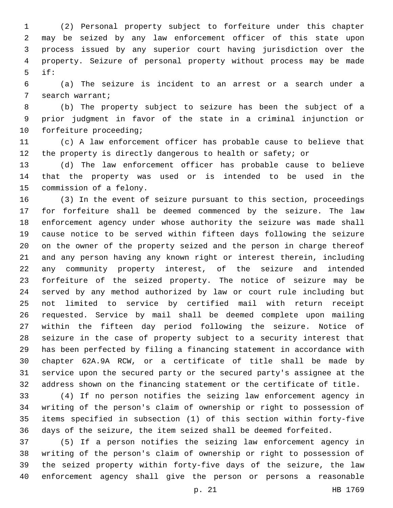(2) Personal property subject to forfeiture under this chapter may be seized by any law enforcement officer of this state upon process issued by any superior court having jurisdiction over the property. Seizure of personal property without process may be made if:

 (a) The seizure is incident to an arrest or a search under a 7 search warrant;

 (b) The property subject to seizure has been the subject of a prior judgment in favor of the state in a criminal injunction or 10 forfeiture proceeding;

 (c) A law enforcement officer has probable cause to believe that 12 the property is directly dangerous to health or safety; or

 (d) The law enforcement officer has probable cause to believe that the property was used or is intended to be used in the 15 commission of a felony.

 (3) In the event of seizure pursuant to this section, proceedings for forfeiture shall be deemed commenced by the seizure. The law enforcement agency under whose authority the seizure was made shall cause notice to be served within fifteen days following the seizure on the owner of the property seized and the person in charge thereof and any person having any known right or interest therein, including any community property interest, of the seizure and intended forfeiture of the seized property. The notice of seizure may be served by any method authorized by law or court rule including but not limited to service by certified mail with return receipt requested. Service by mail shall be deemed complete upon mailing within the fifteen day period following the seizure. Notice of seizure in the case of property subject to a security interest that has been perfected by filing a financing statement in accordance with chapter 62A.9A RCW, or a certificate of title shall be made by service upon the secured party or the secured party's assignee at the address shown on the financing statement or the certificate of title.

 (4) If no person notifies the seizing law enforcement agency in writing of the person's claim of ownership or right to possession of items specified in subsection (1) of this section within forty-five days of the seizure, the item seized shall be deemed forfeited.

 (5) If a person notifies the seizing law enforcement agency in writing of the person's claim of ownership or right to possession of the seized property within forty-five days of the seizure, the law enforcement agency shall give the person or persons a reasonable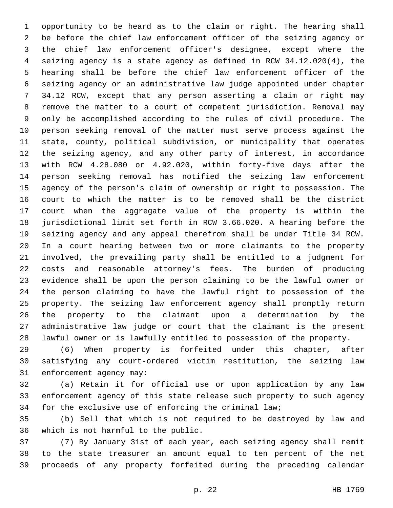opportunity to be heard as to the claim or right. The hearing shall be before the chief law enforcement officer of the seizing agency or the chief law enforcement officer's designee, except where the seizing agency is a state agency as defined in RCW 34.12.020(4), the hearing shall be before the chief law enforcement officer of the seizing agency or an administrative law judge appointed under chapter 34.12 RCW, except that any person asserting a claim or right may remove the matter to a court of competent jurisdiction. Removal may only be accomplished according to the rules of civil procedure. The person seeking removal of the matter must serve process against the state, county, political subdivision, or municipality that operates the seizing agency, and any other party of interest, in accordance with RCW 4.28.080 or 4.92.020, within forty-five days after the person seeking removal has notified the seizing law enforcement agency of the person's claim of ownership or right to possession. The court to which the matter is to be removed shall be the district court when the aggregate value of the property is within the jurisdictional limit set forth in RCW 3.66.020. A hearing before the seizing agency and any appeal therefrom shall be under Title 34 RCW. In a court hearing between two or more claimants to the property involved, the prevailing party shall be entitled to a judgment for costs and reasonable attorney's fees. The burden of producing evidence shall be upon the person claiming to be the lawful owner or the person claiming to have the lawful right to possession of the property. The seizing law enforcement agency shall promptly return the property to the claimant upon a determination by the administrative law judge or court that the claimant is the present lawful owner or is lawfully entitled to possession of the property.

 (6) When property is forfeited under this chapter, after satisfying any court-ordered victim restitution, the seizing law 31 enforcement agency may:

 (a) Retain it for official use or upon application by any law enforcement agency of this state release such property to such agency for the exclusive use of enforcing the criminal law;

 (b) Sell that which is not required to be destroyed by law and 36 which is not harmful to the public.

 (7) By January 31st of each year, each seizing agency shall remit to the state treasurer an amount equal to ten percent of the net proceeds of any property forfeited during the preceding calendar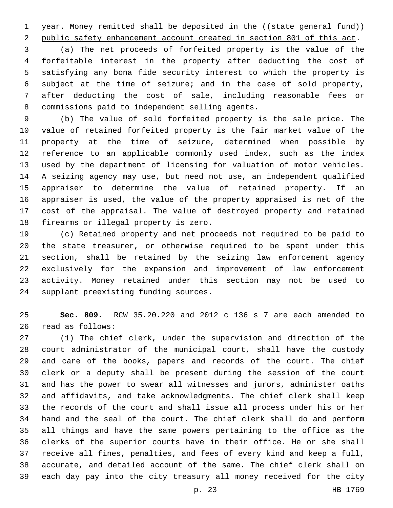1 year. Money remitted shall be deposited in the ((state general fund)) public safety enhancement account created in section 801 of this act.

 (a) The net proceeds of forfeited property is the value of the forfeitable interest in the property after deducting the cost of satisfying any bona fide security interest to which the property is subject at the time of seizure; and in the case of sold property, after deducting the cost of sale, including reasonable fees or 8 commissions paid to independent selling agents.

 (b) The value of sold forfeited property is the sale price. The value of retained forfeited property is the fair market value of the property at the time of seizure, determined when possible by reference to an applicable commonly used index, such as the index used by the department of licensing for valuation of motor vehicles. A seizing agency may use, but need not use, an independent qualified appraiser to determine the value of retained property. If an appraiser is used, the value of the property appraised is net of the cost of the appraisal. The value of destroyed property and retained 18 firearms or illegal property is zero.

 (c) Retained property and net proceeds not required to be paid to the state treasurer, or otherwise required to be spent under this section, shall be retained by the seizing law enforcement agency exclusively for the expansion and improvement of law enforcement activity. Money retained under this section may not be used to 24 supplant preexisting funding sources.

 **Sec. 809.** RCW 35.20.220 and 2012 c 136 s 7 are each amended to 26 read as follows:

 (1) The chief clerk, under the supervision and direction of the court administrator of the municipal court, shall have the custody and care of the books, papers and records of the court. The chief clerk or a deputy shall be present during the session of the court and has the power to swear all witnesses and jurors, administer oaths and affidavits, and take acknowledgments. The chief clerk shall keep the records of the court and shall issue all process under his or her hand and the seal of the court. The chief clerk shall do and perform all things and have the same powers pertaining to the office as the clerks of the superior courts have in their office. He or she shall receive all fines, penalties, and fees of every kind and keep a full, accurate, and detailed account of the same. The chief clerk shall on each day pay into the city treasury all money received for the city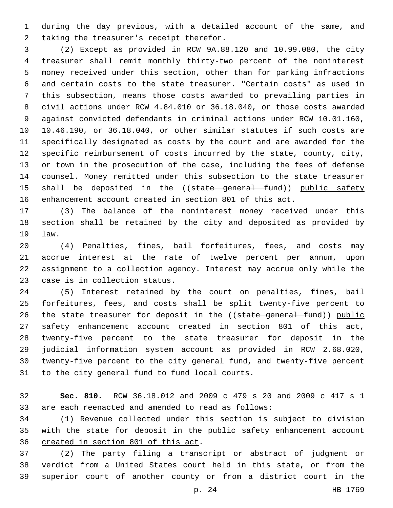during the day previous, with a detailed account of the same, and 2 taking the treasurer's receipt therefor.

 (2) Except as provided in RCW 9A.88.120 and 10.99.080, the city treasurer shall remit monthly thirty-two percent of the noninterest money received under this section, other than for parking infractions and certain costs to the state treasurer. "Certain costs" as used in this subsection, means those costs awarded to prevailing parties in civil actions under RCW 4.84.010 or 36.18.040, or those costs awarded against convicted defendants in criminal actions under RCW 10.01.160, 10.46.190, or 36.18.040, or other similar statutes if such costs are specifically designated as costs by the court and are awarded for the specific reimbursement of costs incurred by the state, county, city, or town in the prosecution of the case, including the fees of defense counsel. Money remitted under this subsection to the state treasurer 15 shall be deposited in the ((state general fund)) public safety enhancement account created in section 801 of this act.

 (3) The balance of the noninterest money received under this section shall be retained by the city and deposited as provided by 19 law.

 (4) Penalties, fines, bail forfeitures, fees, and costs may accrue interest at the rate of twelve percent per annum, upon assignment to a collection agency. Interest may accrue only while the 23 case is in collection status.

 (5) Interest retained by the court on penalties, fines, bail forfeitures, fees, and costs shall be split twenty-five percent to 26 the state treasurer for deposit in the ((state general fund)) public safety enhancement account created in section 801 of this act, twenty-five percent to the state treasurer for deposit in the judicial information system account as provided in RCW 2.68.020, twenty-five percent to the city general fund, and twenty-five percent 31 to the city general fund to fund local courts.

 **Sec. 810.** RCW 36.18.012 and 2009 c 479 s 20 and 2009 c 417 s 1 are each reenacted and amended to read as follows:

 (1) Revenue collected under this section is subject to division 35 with the state for deposit in the public safety enhancement account 36 created in section 801 of this act.

 (2) The party filing a transcript or abstract of judgment or verdict from a United States court held in this state, or from the superior court of another county or from a district court in the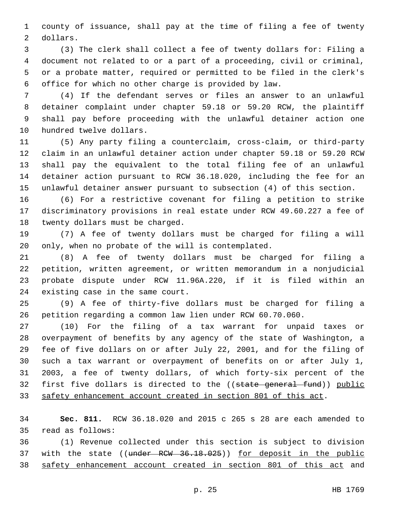county of issuance, shall pay at the time of filing a fee of twenty 2 dollars.

 (3) The clerk shall collect a fee of twenty dollars for: Filing a document not related to or a part of a proceeding, civil or criminal, or a probate matter, required or permitted to be filed in the clerk's office for which no other charge is provided by law.

 (4) If the defendant serves or files an answer to an unlawful detainer complaint under chapter 59.18 or 59.20 RCW, the plaintiff shall pay before proceeding with the unlawful detainer action one 10 hundred twelve dollars.

 (5) Any party filing a counterclaim, cross-claim, or third-party claim in an unlawful detainer action under chapter 59.18 or 59.20 RCW shall pay the equivalent to the total filing fee of an unlawful detainer action pursuant to RCW 36.18.020, including the fee for an unlawful detainer answer pursuant to subsection (4) of this section.

 (6) For a restrictive covenant for filing a petition to strike discriminatory provisions in real estate under RCW 49.60.227 a fee of 18 twenty dollars must be charged.

 (7) A fee of twenty dollars must be charged for filing a will only, when no probate of the will is contemplated.

 (8) A fee of twenty dollars must be charged for filing a petition, written agreement, or written memorandum in a nonjudicial probate dispute under RCW 11.96A.220, if it is filed within an 24 existing case in the same court.

 (9) A fee of thirty-five dollars must be charged for filing a petition regarding a common law lien under RCW 60.70.060.

 (10) For the filing of a tax warrant for unpaid taxes or overpayment of benefits by any agency of the state of Washington, a fee of five dollars on or after July 22, 2001, and for the filing of such a tax warrant or overpayment of benefits on or after July 1, 2003, a fee of twenty dollars, of which forty-six percent of the 32 first five dollars is directed to the ((state general fund)) public safety enhancement account created in section 801 of this act.

 **Sec. 811.** RCW 36.18.020 and 2015 c 265 s 28 are each amended to 35 read as follows:

 (1) Revenue collected under this section is subject to division 37 with the state ((under RCW 36.18.025)) for deposit in the public safety enhancement account created in section 801 of this act and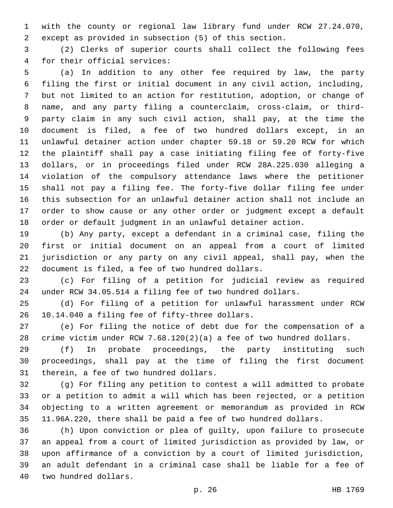with the county or regional law library fund under RCW 27.24.070, except as provided in subsection (5) of this section.

 (2) Clerks of superior courts shall collect the following fees 4 for their official services:

 (a) In addition to any other fee required by law, the party filing the first or initial document in any civil action, including, but not limited to an action for restitution, adoption, or change of name, and any party filing a counterclaim, cross-claim, or third- party claim in any such civil action, shall pay, at the time the document is filed, a fee of two hundred dollars except, in an unlawful detainer action under chapter 59.18 or 59.20 RCW for which the plaintiff shall pay a case initiating filing fee of forty-five dollars, or in proceedings filed under RCW 28A.225.030 alleging a violation of the compulsory attendance laws where the petitioner shall not pay a filing fee. The forty-five dollar filing fee under this subsection for an unlawful detainer action shall not include an order to show cause or any other order or judgment except a default order or default judgment in an unlawful detainer action.

 (b) Any party, except a defendant in a criminal case, filing the first or initial document on an appeal from a court of limited jurisdiction or any party on any civil appeal, shall pay, when the 22 document is filed, a fee of two hundred dollars.

 (c) For filing of a petition for judicial review as required under RCW 34.05.514 a filing fee of two hundred dollars.

 (d) For filing of a petition for unlawful harassment under RCW 26 10.14.040 a filing fee of fifty-three dollars.

 (e) For filing the notice of debt due for the compensation of a crime victim under RCW 7.68.120(2)(a) a fee of two hundred dollars.

 (f) In probate proceedings, the party instituting such proceedings, shall pay at the time of filing the first document 31 therein, a fee of two hundred dollars.

 (g) For filing any petition to contest a will admitted to probate or a petition to admit a will which has been rejected, or a petition objecting to a written agreement or memorandum as provided in RCW 11.96A.220, there shall be paid a fee of two hundred dollars.

 (h) Upon conviction or plea of guilty, upon failure to prosecute an appeal from a court of limited jurisdiction as provided by law, or upon affirmance of a conviction by a court of limited jurisdiction, an adult defendant in a criminal case shall be liable for a fee of 40 two hundred dollars.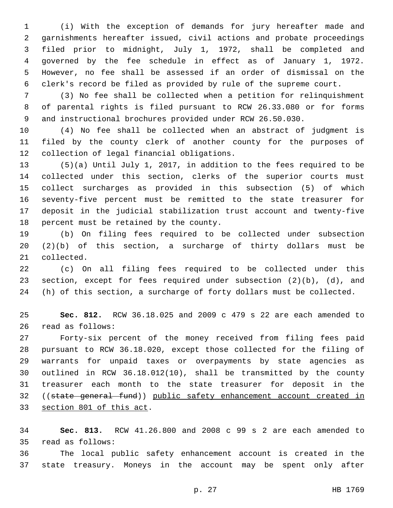(i) With the exception of demands for jury hereafter made and garnishments hereafter issued, civil actions and probate proceedings filed prior to midnight, July 1, 1972, shall be completed and governed by the fee schedule in effect as of January 1, 1972. However, no fee shall be assessed if an order of dismissal on the clerk's record be filed as provided by rule of the supreme court.

 (3) No fee shall be collected when a petition for relinquishment of parental rights is filed pursuant to RCW 26.33.080 or for forms and instructional brochures provided under RCW 26.50.030.

 (4) No fee shall be collected when an abstract of judgment is filed by the county clerk of another county for the purposes of 12 collection of legal financial obligations.

 (5)(a) Until July 1, 2017, in addition to the fees required to be collected under this section, clerks of the superior courts must collect surcharges as provided in this subsection (5) of which seventy-five percent must be remitted to the state treasurer for deposit in the judicial stabilization trust account and twenty-five 18 percent must be retained by the county.

 (b) On filing fees required to be collected under subsection (2)(b) of this section, a surcharge of thirty dollars must be 21 collected.

 (c) On all filing fees required to be collected under this section, except for fees required under subsection (2)(b), (d), and (h) of this section, a surcharge of forty dollars must be collected.

 **Sec. 812.** RCW 36.18.025 and 2009 c 479 s 22 are each amended to 26 read as follows:

 Forty-six percent of the money received from filing fees paid pursuant to RCW 36.18.020, except those collected for the filing of warrants for unpaid taxes or overpayments by state agencies as outlined in RCW 36.18.012(10), shall be transmitted by the county treasurer each month to the state treasurer for deposit in the ((state general fund)) public safety enhancement account created in 33 section 801 of this act.

 **Sec. 813.** RCW 41.26.800 and 2008 c 99 s 2 are each amended to read as follows:35

 The local public safety enhancement account is created in the state treasury. Moneys in the account may be spent only after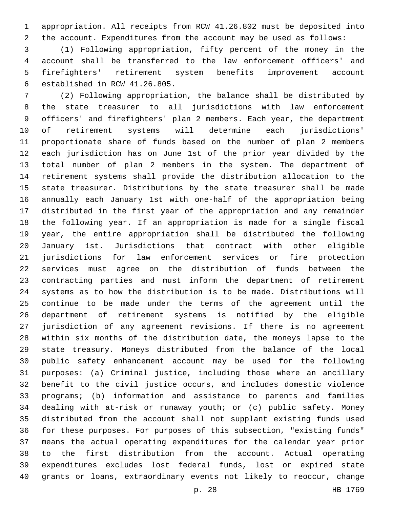appropriation. All receipts from RCW 41.26.802 must be deposited into the account. Expenditures from the account may be used as follows:

 (1) Following appropriation, fifty percent of the money in the account shall be transferred to the law enforcement officers' and firefighters' retirement system benefits improvement account 6 established in RCW 41.26.805.

 (2) Following appropriation, the balance shall be distributed by the state treasurer to all jurisdictions with law enforcement officers' and firefighters' plan 2 members. Each year, the department of retirement systems will determine each jurisdictions' proportionate share of funds based on the number of plan 2 members each jurisdiction has on June 1st of the prior year divided by the total number of plan 2 members in the system. The department of retirement systems shall provide the distribution allocation to the state treasurer. Distributions by the state treasurer shall be made annually each January 1st with one-half of the appropriation being distributed in the first year of the appropriation and any remainder the following year. If an appropriation is made for a single fiscal year, the entire appropriation shall be distributed the following January 1st. Jurisdictions that contract with other eligible jurisdictions for law enforcement services or fire protection services must agree on the distribution of funds between the contracting parties and must inform the department of retirement systems as to how the distribution is to be made. Distributions will continue to be made under the terms of the agreement until the department of retirement systems is notified by the eligible jurisdiction of any agreement revisions. If there is no agreement within six months of the distribution date, the moneys lapse to the state treasury. Moneys distributed from the balance of the local public safety enhancement account may be used for the following purposes: (a) Criminal justice, including those where an ancillary benefit to the civil justice occurs, and includes domestic violence programs; (b) information and assistance to parents and families dealing with at-risk or runaway youth; or (c) public safety. Money distributed from the account shall not supplant existing funds used for these purposes. For purposes of this subsection, "existing funds" means the actual operating expenditures for the calendar year prior to the first distribution from the account. Actual operating expenditures excludes lost federal funds, lost or expired state grants or loans, extraordinary events not likely to reoccur, change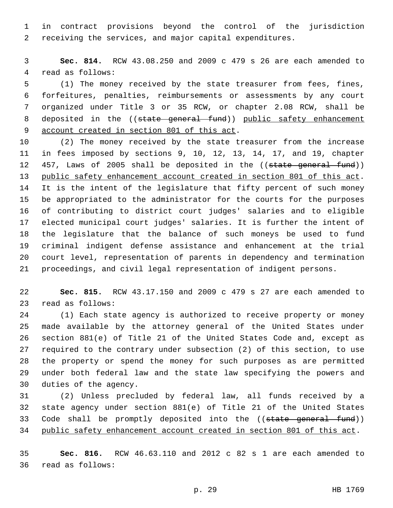in contract provisions beyond the control of the jurisdiction receiving the services, and major capital expenditures.

 **Sec. 814.** RCW 43.08.250 and 2009 c 479 s 26 are each amended to 4 read as follows:

 (1) The money received by the state treasurer from fees, fines, forfeitures, penalties, reimbursements or assessments by any court organized under Title 3 or 35 RCW, or chapter 2.08 RCW, shall be 8 deposited in the ((state general fund)) public safety enhancement 9 account created in section 801 of this act.

 (2) The money received by the state treasurer from the increase in fees imposed by sections 9, 10, 12, 13, 14, 17, and 19, chapter 12 457, Laws of 2005 shall be deposited in the ((state general fund)) public safety enhancement account created in section 801 of this act. It is the intent of the legislature that fifty percent of such money be appropriated to the administrator for the courts for the purposes of contributing to district court judges' salaries and to eligible elected municipal court judges' salaries. It is further the intent of the legislature that the balance of such moneys be used to fund criminal indigent defense assistance and enhancement at the trial court level, representation of parents in dependency and termination proceedings, and civil legal representation of indigent persons.

 **Sec. 815.** RCW 43.17.150 and 2009 c 479 s 27 are each amended to 23 read as follows:

 (1) Each state agency is authorized to receive property or money made available by the attorney general of the United States under section 881(e) of Title 21 of the United States Code and, except as required to the contrary under subsection (2) of this section, to use the property or spend the money for such purposes as are permitted under both federal law and the state law specifying the powers and 30 duties of the agency.

 (2) Unless precluded by federal law, all funds received by a state agency under section 881(e) of Title 21 of the United States 33 Code shall be promptly deposited into the ((state general fund)) public safety enhancement account created in section 801 of this act.

 **Sec. 816.** RCW 46.63.110 and 2012 c 82 s 1 are each amended to 36 read as follows: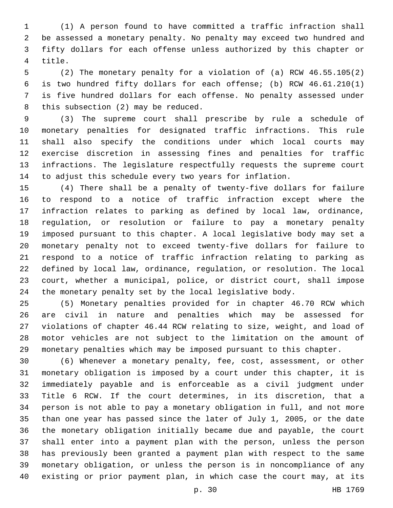(1) A person found to have committed a traffic infraction shall be assessed a monetary penalty. No penalty may exceed two hundred and fifty dollars for each offense unless authorized by this chapter or 4 title.

 (2) The monetary penalty for a violation of (a) RCW 46.55.105(2) is two hundred fifty dollars for each offense; (b) RCW 46.61.210(1) is five hundred dollars for each offense. No penalty assessed under 8 this subsection (2) may be reduced.

 (3) The supreme court shall prescribe by rule a schedule of monetary penalties for designated traffic infractions. This rule shall also specify the conditions under which local courts may exercise discretion in assessing fines and penalties for traffic infractions. The legislature respectfully requests the supreme court to adjust this schedule every two years for inflation.

 (4) There shall be a penalty of twenty-five dollars for failure to respond to a notice of traffic infraction except where the infraction relates to parking as defined by local law, ordinance, regulation, or resolution or failure to pay a monetary penalty imposed pursuant to this chapter. A local legislative body may set a monetary penalty not to exceed twenty-five dollars for failure to respond to a notice of traffic infraction relating to parking as defined by local law, ordinance, regulation, or resolution. The local court, whether a municipal, police, or district court, shall impose the monetary penalty set by the local legislative body.

 (5) Monetary penalties provided for in chapter 46.70 RCW which are civil in nature and penalties which may be assessed for violations of chapter 46.44 RCW relating to size, weight, and load of motor vehicles are not subject to the limitation on the amount of monetary penalties which may be imposed pursuant to this chapter.

 (6) Whenever a monetary penalty, fee, cost, assessment, or other monetary obligation is imposed by a court under this chapter, it is immediately payable and is enforceable as a civil judgment under Title 6 RCW. If the court determines, in its discretion, that a person is not able to pay a monetary obligation in full, and not more than one year has passed since the later of July 1, 2005, or the date the monetary obligation initially became due and payable, the court shall enter into a payment plan with the person, unless the person has previously been granted a payment plan with respect to the same monetary obligation, or unless the person is in noncompliance of any existing or prior payment plan, in which case the court may, at its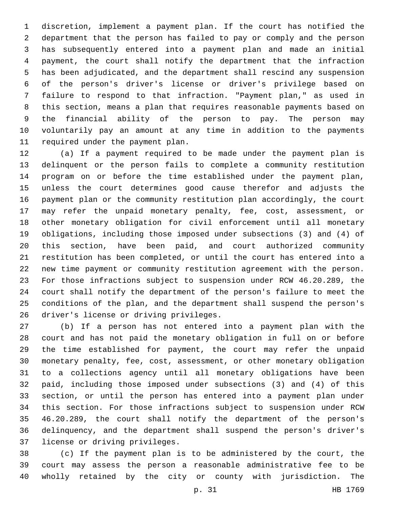discretion, implement a payment plan. If the court has notified the department that the person has failed to pay or comply and the person has subsequently entered into a payment plan and made an initial payment, the court shall notify the department that the infraction has been adjudicated, and the department shall rescind any suspension of the person's driver's license or driver's privilege based on failure to respond to that infraction. "Payment plan," as used in this section, means a plan that requires reasonable payments based on the financial ability of the person to pay. The person may voluntarily pay an amount at any time in addition to the payments 11 required under the payment plan.

 (a) If a payment required to be made under the payment plan is delinquent or the person fails to complete a community restitution program on or before the time established under the payment plan, unless the court determines good cause therefor and adjusts the payment plan or the community restitution plan accordingly, the court may refer the unpaid monetary penalty, fee, cost, assessment, or other monetary obligation for civil enforcement until all monetary obligations, including those imposed under subsections (3) and (4) of this section, have been paid, and court authorized community restitution has been completed, or until the court has entered into a new time payment or community restitution agreement with the person. For those infractions subject to suspension under RCW 46.20.289, the court shall notify the department of the person's failure to meet the conditions of the plan, and the department shall suspend the person's 26 driver's license or driving privileges.

 (b) If a person has not entered into a payment plan with the court and has not paid the monetary obligation in full on or before the time established for payment, the court may refer the unpaid monetary penalty, fee, cost, assessment, or other monetary obligation to a collections agency until all monetary obligations have been paid, including those imposed under subsections (3) and (4) of this section, or until the person has entered into a payment plan under this section. For those infractions subject to suspension under RCW 46.20.289, the court shall notify the department of the person's delinquency, and the department shall suspend the person's driver's 37 license or driving privileges.

 (c) If the payment plan is to be administered by the court, the court may assess the person a reasonable administrative fee to be wholly retained by the city or county with jurisdiction. The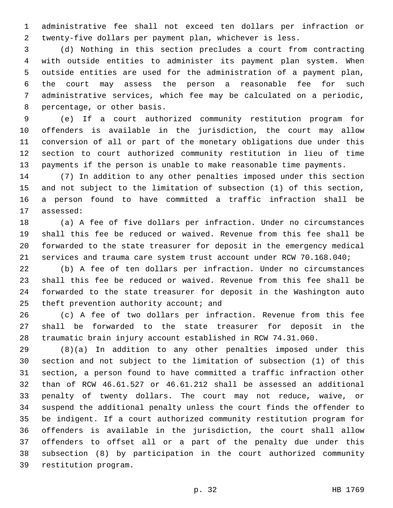administrative fee shall not exceed ten dollars per infraction or twenty-five dollars per payment plan, whichever is less.

 (d) Nothing in this section precludes a court from contracting with outside entities to administer its payment plan system. When outside entities are used for the administration of a payment plan, the court may assess the person a reasonable fee for such administrative services, which fee may be calculated on a periodic, 8 percentage, or other basis.

 (e) If a court authorized community restitution program for offenders is available in the jurisdiction, the court may allow conversion of all or part of the monetary obligations due under this section to court authorized community restitution in lieu of time payments if the person is unable to make reasonable time payments.

 (7) In addition to any other penalties imposed under this section and not subject to the limitation of subsection (1) of this section, a person found to have committed a traffic infraction shall be 17 assessed:

 (a) A fee of five dollars per infraction. Under no circumstances shall this fee be reduced or waived. Revenue from this fee shall be forwarded to the state treasurer for deposit in the emergency medical services and trauma care system trust account under RCW 70.168.040;

 (b) A fee of ten dollars per infraction. Under no circumstances shall this fee be reduced or waived. Revenue from this fee shall be forwarded to the state treasurer for deposit in the Washington auto 25 theft prevention authority account; and

 (c) A fee of two dollars per infraction. Revenue from this fee shall be forwarded to the state treasurer for deposit in the traumatic brain injury account established in RCW 74.31.060.

 (8)(a) In addition to any other penalties imposed under this section and not subject to the limitation of subsection (1) of this section, a person found to have committed a traffic infraction other than of RCW 46.61.527 or 46.61.212 shall be assessed an additional penalty of twenty dollars. The court may not reduce, waive, or suspend the additional penalty unless the court finds the offender to be indigent. If a court authorized community restitution program for offenders is available in the jurisdiction, the court shall allow offenders to offset all or a part of the penalty due under this subsection (8) by participation in the court authorized community 39 restitution program.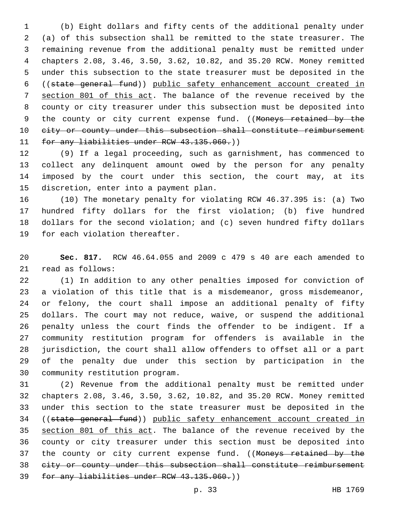(b) Eight dollars and fifty cents of the additional penalty under (a) of this subsection shall be remitted to the state treasurer. The remaining revenue from the additional penalty must be remitted under chapters 2.08, 3.46, 3.50, 3.62, 10.82, and 35.20 RCW. Money remitted under this subsection to the state treasurer must be deposited in the ((state general fund)) public safety enhancement account created in section 801 of this act. The balance of the revenue received by the county or city treasurer under this subsection must be deposited into 9 the county or city current expense fund. ((Moneys retained by the 10 eity or county under this subsection shall constitute reimbursement 11 for any liabilities under RCW 43.135.060.)

 (9) If a legal proceeding, such as garnishment, has commenced to collect any delinquent amount owed by the person for any penalty imposed by the court under this section, the court may, at its 15 discretion, enter into a payment plan.

 (10) The monetary penalty for violating RCW 46.37.395 is: (a) Two hundred fifty dollars for the first violation; (b) five hundred dollars for the second violation; and (c) seven hundred fifty dollars 19 for each violation thereafter.

 **Sec. 817.** RCW 46.64.055 and 2009 c 479 s 40 are each amended to 21 read as follows:

 (1) In addition to any other penalties imposed for conviction of a violation of this title that is a misdemeanor, gross misdemeanor, or felony, the court shall impose an additional penalty of fifty dollars. The court may not reduce, waive, or suspend the additional penalty unless the court finds the offender to be indigent. If a community restitution program for offenders is available in the jurisdiction, the court shall allow offenders to offset all or a part of the penalty due under this section by participation in the 30 community restitution program.

 (2) Revenue from the additional penalty must be remitted under chapters 2.08, 3.46, 3.50, 3.62, 10.82, and 35.20 RCW. Money remitted under this section to the state treasurer must be deposited in the ((state general fund)) public safety enhancement account created in section 801 of this act. The balance of the revenue received by the county or city treasurer under this section must be deposited into 37 the county or city current expense fund. ((Moneys retained by the city or county under this subsection shall constitute reimbursement for any liabilities under RCW 43.135.060.))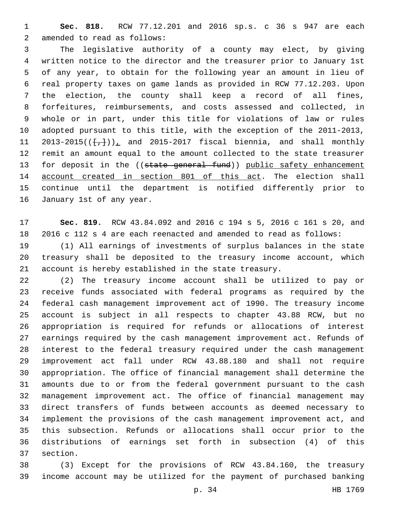**Sec. 818.** RCW 77.12.201 and 2016 sp.s. c 36 s 947 are each 2 amended to read as follows:

 The legislative authority of a county may elect, by giving written notice to the director and the treasurer prior to January 1st of any year, to obtain for the following year an amount in lieu of real property taxes on game lands as provided in RCW 77.12.203. Upon the election, the county shall keep a record of all fines, forfeitures, reimbursements, and costs assessed and collected, in whole or in part, under this title for violations of law or rules adopted pursuant to this title, with the exception of the 2011-2013,  $2013-2015(\{\frac{1}{k}\})$ , and  $2015-2017$  fiscal biennia, and shall monthly remit an amount equal to the amount collected to the state treasurer 13 for deposit in the ((state general fund)) public safety enhancement account created in section 801 of this act. The election shall continue until the department is notified differently prior to 16 January 1st of any year.

 **Sec. 819.** RCW 43.84.092 and 2016 c 194 s 5, 2016 c 161 s 20, and 2016 c 112 s 4 are each reenacted and amended to read as follows:

 (1) All earnings of investments of surplus balances in the state treasury shall be deposited to the treasury income account, which account is hereby established in the state treasury.

 (2) The treasury income account shall be utilized to pay or receive funds associated with federal programs as required by the federal cash management improvement act of 1990. The treasury income account is subject in all respects to chapter 43.88 RCW, but no appropriation is required for refunds or allocations of interest earnings required by the cash management improvement act. Refunds of interest to the federal treasury required under the cash management improvement act fall under RCW 43.88.180 and shall not require appropriation. The office of financial management shall determine the amounts due to or from the federal government pursuant to the cash management improvement act. The office of financial management may direct transfers of funds between accounts as deemed necessary to implement the provisions of the cash management improvement act, and this subsection. Refunds or allocations shall occur prior to the distributions of earnings set forth in subsection (4) of this 37 section.

 (3) Except for the provisions of RCW 43.84.160, the treasury income account may be utilized for the payment of purchased banking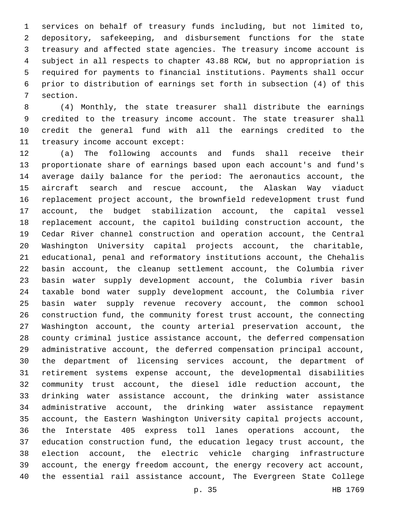services on behalf of treasury funds including, but not limited to, depository, safekeeping, and disbursement functions for the state treasury and affected state agencies. The treasury income account is subject in all respects to chapter 43.88 RCW, but no appropriation is required for payments to financial institutions. Payments shall occur prior to distribution of earnings set forth in subsection (4) of this 7 section.

 (4) Monthly, the state treasurer shall distribute the earnings 9 credited to the treasury income account. The state treasurer shall credit the general fund with all the earnings credited to the 11 treasury income account except:

 (a) The following accounts and funds shall receive their proportionate share of earnings based upon each account's and fund's average daily balance for the period: The aeronautics account, the aircraft search and rescue account, the Alaskan Way viaduct replacement project account, the brownfield redevelopment trust fund account, the budget stabilization account, the capital vessel replacement account, the capitol building construction account, the Cedar River channel construction and operation account, the Central Washington University capital projects account, the charitable, educational, penal and reformatory institutions account, the Chehalis basin account, the cleanup settlement account, the Columbia river basin water supply development account, the Columbia river basin taxable bond water supply development account, the Columbia river basin water supply revenue recovery account, the common school construction fund, the community forest trust account, the connecting Washington account, the county arterial preservation account, the county criminal justice assistance account, the deferred compensation administrative account, the deferred compensation principal account, the department of licensing services account, the department of retirement systems expense account, the developmental disabilities community trust account, the diesel idle reduction account, the drinking water assistance account, the drinking water assistance administrative account, the drinking water assistance repayment account, the Eastern Washington University capital projects account, the Interstate 405 express toll lanes operations account, the education construction fund, the education legacy trust account, the election account, the electric vehicle charging infrastructure account, the energy freedom account, the energy recovery act account, the essential rail assistance account, The Evergreen State College

p. 35 HB 1769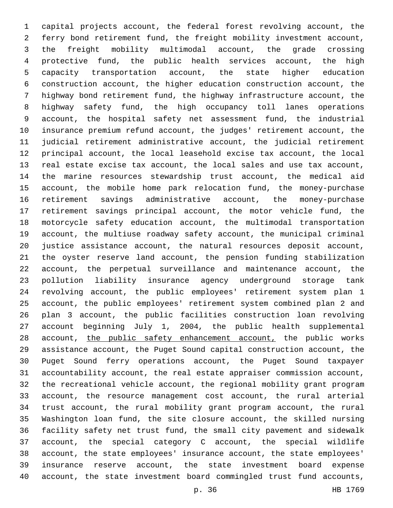capital projects account, the federal forest revolving account, the ferry bond retirement fund, the freight mobility investment account, the freight mobility multimodal account, the grade crossing protective fund, the public health services account, the high capacity transportation account, the state higher education construction account, the higher education construction account, the highway bond retirement fund, the highway infrastructure account, the highway safety fund, the high occupancy toll lanes operations account, the hospital safety net assessment fund, the industrial insurance premium refund account, the judges' retirement account, the judicial retirement administrative account, the judicial retirement principal account, the local leasehold excise tax account, the local real estate excise tax account, the local sales and use tax account, the marine resources stewardship trust account, the medical aid account, the mobile home park relocation fund, the money-purchase retirement savings administrative account, the money-purchase retirement savings principal account, the motor vehicle fund, the motorcycle safety education account, the multimodal transportation account, the multiuse roadway safety account, the municipal criminal justice assistance account, the natural resources deposit account, the oyster reserve land account, the pension funding stabilization account, the perpetual surveillance and maintenance account, the pollution liability insurance agency underground storage tank revolving account, the public employees' retirement system plan 1 account, the public employees' retirement system combined plan 2 and plan 3 account, the public facilities construction loan revolving account beginning July 1, 2004, the public health supplemental 28 account, the public safety enhancement account, the public works assistance account, the Puget Sound capital construction account, the Puget Sound ferry operations account, the Puget Sound taxpayer accountability account, the real estate appraiser commission account, the recreational vehicle account, the regional mobility grant program account, the resource management cost account, the rural arterial trust account, the rural mobility grant program account, the rural Washington loan fund, the site closure account, the skilled nursing facility safety net trust fund, the small city pavement and sidewalk account, the special category C account, the special wildlife account, the state employees' insurance account, the state employees' insurance reserve account, the state investment board expense account, the state investment board commingled trust fund accounts,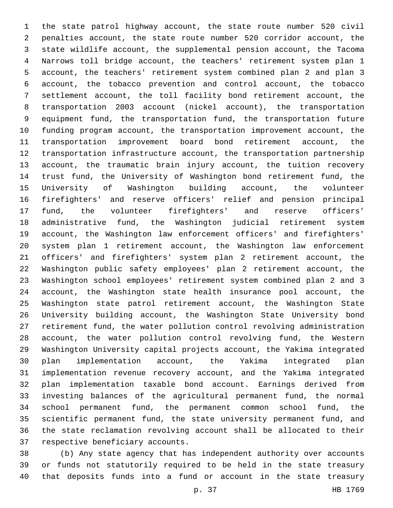the state patrol highway account, the state route number 520 civil penalties account, the state route number 520 corridor account, the state wildlife account, the supplemental pension account, the Tacoma Narrows toll bridge account, the teachers' retirement system plan 1 account, the teachers' retirement system combined plan 2 and plan 3 account, the tobacco prevention and control account, the tobacco settlement account, the toll facility bond retirement account, the transportation 2003 account (nickel account), the transportation equipment fund, the transportation fund, the transportation future funding program account, the transportation improvement account, the transportation improvement board bond retirement account, the transportation infrastructure account, the transportation partnership account, the traumatic brain injury account, the tuition recovery trust fund, the University of Washington bond retirement fund, the University of Washington building account, the volunteer firefighters' and reserve officers' relief and pension principal fund, the volunteer firefighters' and reserve officers' administrative fund, the Washington judicial retirement system account, the Washington law enforcement officers' and firefighters' system plan 1 retirement account, the Washington law enforcement officers' and firefighters' system plan 2 retirement account, the Washington public safety employees' plan 2 retirement account, the Washington school employees' retirement system combined plan 2 and 3 account, the Washington state health insurance pool account, the Washington state patrol retirement account, the Washington State University building account, the Washington State University bond retirement fund, the water pollution control revolving administration account, the water pollution control revolving fund, the Western Washington University capital projects account, the Yakima integrated plan implementation account, the Yakima integrated plan implementation revenue recovery account, and the Yakima integrated plan implementation taxable bond account. Earnings derived from investing balances of the agricultural permanent fund, the normal school permanent fund, the permanent common school fund, the scientific permanent fund, the state university permanent fund, and the state reclamation revolving account shall be allocated to their 37 respective beneficiary accounts.

 (b) Any state agency that has independent authority over accounts or funds not statutorily required to be held in the state treasury that deposits funds into a fund or account in the state treasury